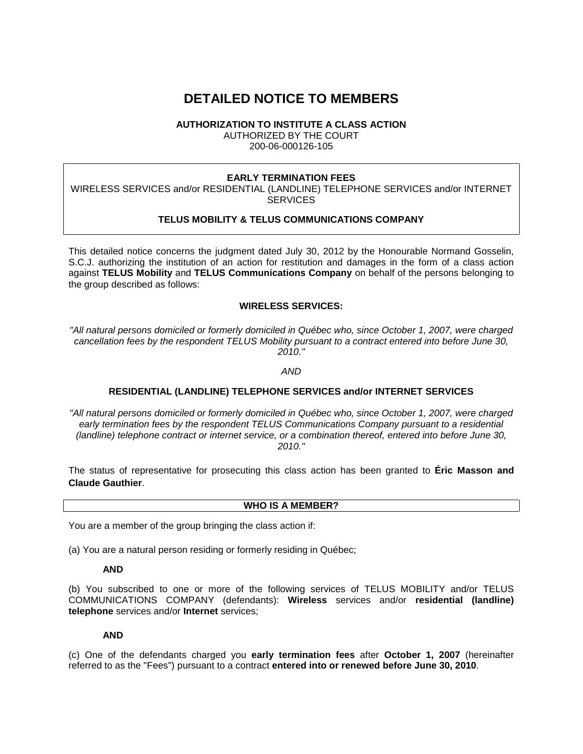# **DETAILED NOTICE TO MEMBERS**

## **AUTHORIZATION TO INSTITUTE A CLASS ACTION**

AUTHORIZED BY THE COURT 200-06-000126-105

## **EARLY TERMINATION FEES**

WIRELESS SERVICES and/or RESIDENTIAL (LANDLINE) TELEPHONE SERVICES and/or INTERNET **SERVICES** 

# **TELUS MOBILITY & TELUS COMMUNICATIONS COMPANY**

This detailed notice concerns the judgment dated July 30, 2012 by the Honourable Normand Gosselin, S.C.J. authorizing the institution of an action for restitution and damages in the form of a class action against **TELUS Mobility** and **TELUS Communications Company** on behalf of the persons belonging to the group described as follows:

# **WIRELESS SERVICES:**

*"All natural persons domiciled or formerly domiciled in Québec who, since October 1, 2007, were charged cancellation fees by the respondent TELUS Mobility pursuant to a contract entered into before June 30, 2010."*

*AND*

# **RESIDENTIAL (LANDLINE) TELEPHONE SERVICES and/or INTERNET SERVICES**

*"All natural persons domiciled or formerly domiciled in Québec who, since October 1, 2007, were charged early termination fees by the respondent TELUS Communications Company pursuant to a residential (landline) telephone contract or internet service, or a combination thereof, entered into before June 30, 2010."*

The status of representative for prosecuting this class action has been granted to **Éric Masson and Claude Gauthier**.

#### **WHO IS A MEMBER?**

You are a member of the group bringing the class action if:

(a) You are a natural person residing or formerly residing in Québec;

#### **AND**

(b) You subscribed to one or more of the following services of TELUS MOBILITY and/or TELUS COMMUNICATIONS COMPANY (defendants): **Wireless** services and/or **residential (landline) telephone** services and/or **Internet** services;

## **AND**

(c) One of the defendants charged you **early termination fees** after **October 1, 2007** (hereinafter referred to as the "Fees") pursuant to a contract **entered into or renewed before June 30, 2010**.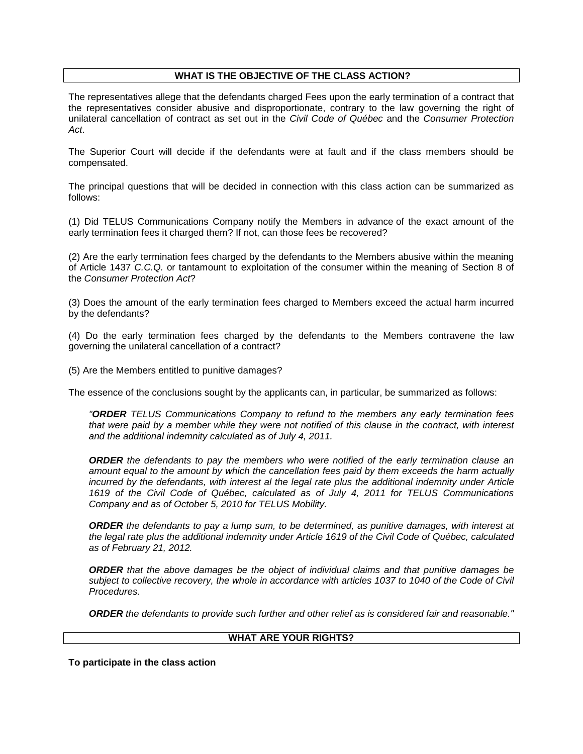## **WHAT IS THE OBJECTIVE OF THE CLASS ACTION?**

The representatives allege that the defendants charged Fees upon the early termination of a contract that the representatives consider abusive and disproportionate, contrary to the law governing the right of unilateral cancellation of contract as set out in the *Civil Code of Québec* and the *Consumer Protection Act*.

The Superior Court will decide if the defendants were at fault and if the class members should be compensated.

The principal questions that will be decided in connection with this class action can be summarized as follows:

(1) Did TELUS Communications Company notify the Members in advance of the exact amount of the early termination fees it charged them? If not, can those fees be recovered?

(2) Are the early termination fees charged by the defendants to the Members abusive within the meaning of Article 1437 *C.C.Q.* or tantamount to exploitation of the consumer within the meaning of Section 8 of the *Consumer Protection Act*?

(3) Does the amount of the early termination fees charged to Members exceed the actual harm incurred by the defendants?

(4) Do the early termination fees charged by the defendants to the Members contravene the law governing the unilateral cancellation of a contract?

(5) Are the Members entitled to punitive damages?

The essence of the conclusions sought by the applicants can, in particular, be summarized as follows:

*"ORDER TELUS Communications Company to refund to the members any early termination fees that were paid by a member while they were not notified of this clause in the contract, with interest and the additional indemnity calculated as of July 4, 2011.*

*ORDER the defendants to pay the members who were notified of the early termination clause an amount equal to the amount by which the cancellation fees paid by them exceeds the harm actually incurred by the defendants, with interest al the legal rate plus the additional indemnity under Article 1619 of the Civil Code of Québec, calculated as of July 4, 2011 for TELUS Communications Company and as of October 5, 2010 for TELUS Mobility.*

*ORDER the defendants to pay a lump sum, to be determined, as punitive damages, with interest at the legal rate plus the additional indemnity under Article 1619 of the Civil Code of Québec, calculated as of February 21, 2012.*

*ORDER that the above damages be the object of individual claims and that punitive damages be subject to collective recovery, the whole in accordance with articles 1037 to 1040 of the Code of Civil Procedures.*

*ORDER the defendants to provide such further and other relief as is considered fair and reasonable."*

#### **WHAT ARE YOUR RIGHTS?**

**To participate in the class action**